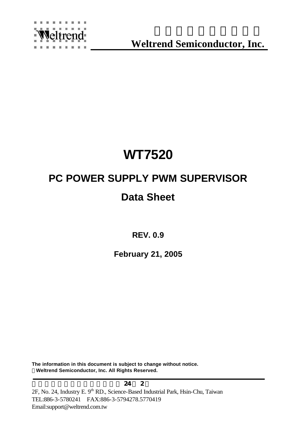

**Weltrend Semiconductor, Inc.**

## **WT7520**

# **PC POWER SUPPLY PWM SUPERVISOR**

## **Data Sheet**

**REV. 0.9**

**February 21, 2005**

**The information in this document is subject to change without notice. ÓWeltrend Semiconductor, Inc. All Rights Reserved.**

 $\mathbf{24}$  24 2 2F, No. 24, Industry E. 9<sup>th</sup> RD., Science-Based Industrial Park, Hsin-Chu, Taiwan TEL:886-3-5780241 FAX:886-3-5794278.5770419 Email:support@weltrend.com.tw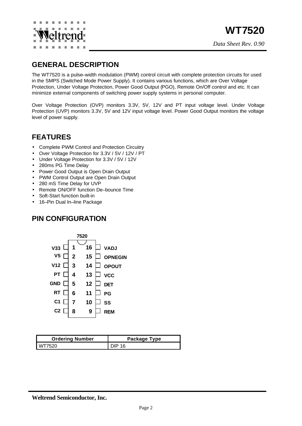

#### **GENERAL DESCRIPTION**

The WT7520 is a pulse–width modulation (PWM) control circuit with complete protection circuits for used in the SMPS (Switched Mode Power Supply). It contains various functions, which are Over Voltage Protection, Under Voltage Protection, Power Good Output (PGO), Remote On/Off control and etc. It can minimize external components of switching power supply systems in personal computer.

Over Voltage Protection (OVP) monitors 3.3V, 5V, 12V and PT input voltage level. Under Voltage Protection (UVP) monitors 3.3V, 5V and 12V input voltage level. Power Good Output monitors the voltage level of power supply.

## **FEATURES**

- Complete PWM Control and Protection Circuitry
- Over Voltage Protection for 3.3V / 5V / 12V / PT
- Under Voltage Protection for 3.3V / 5V / 12V
- 280ms PG Time Delay
- Power Good Output is Open Drain Output
- PWM Control Output are Open Drain Output
- 280 mS Time Delay for UVP
- Remote ON/OFF function De–bounce Time
- Soft-Start function built-in
- 16-Pin Dual In-line Package

#### **PIN CONFIGURATION**



| <b>Ordering Number</b> | Package Type |  |  |  |
|------------------------|--------------|--|--|--|
| WT7520                 | DIP 16       |  |  |  |

**Weltrend Semiconductor, Inc.**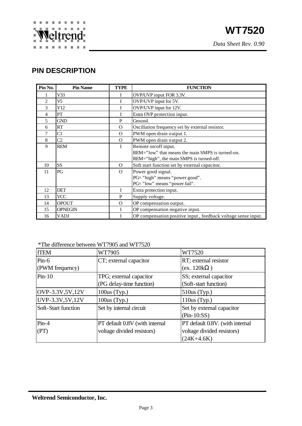## **PIN DESCRIPTION**

| Pin No.        | <b>Pin Name</b> | TYPE      | <b>FUNCTION</b>                                               |  |
|----------------|-----------------|-----------|---------------------------------------------------------------|--|
|                | V <sub>33</sub> | I         | OVP/UVP input FOR 3.3V.                                       |  |
| $\overline{2}$ | V5              |           | OVP/UVP input for 5V.                                         |  |
| 3              | V12             |           | OVP/UVP input for 12V.                                        |  |
| 4              | PT              |           | Extra OVP protection input.                                   |  |
| 5              | <b>GND</b>      | P         | Ground.                                                       |  |
| 6              | RT              | $\Omega$  | Oscillation frequency set by external resistor.               |  |
| 7              | C1              | $\Omega$  | PWM open drain output 1.                                      |  |
| 8              | C <sub>2</sub>  | $\Omega$  | PWM open drain output 2.                                      |  |
| 9              | <b>REM</b>      | I         | Remote on/off input.                                          |  |
|                |                 |           | REM="low" that means the main SMPS is turned-on.              |  |
|                |                 |           | REM="high", the main SMPS is turned-off.                      |  |
| 10             | SS              | $\Omega$  | Soft start function set by external capacitor.                |  |
| 11             | PG              | $\Omega$  | Power good signal.                                            |  |
|                |                 |           | PG="high" means "power good".                                 |  |
|                |                 |           | PG="low" means "power fail".                                  |  |
| 12             | <b>DET</b>      | T         | Extra protection input.                                       |  |
| 13             | <b>VCC</b>      | ${\bf P}$ | Supply voltage.                                               |  |
| 14             | <b>OPOUT</b>    | $\Omega$  | OP compensation output.                                       |  |
| 15             | <b>OPNEGIN</b>  | I         | OP compensation negative input.                               |  |
| 16             | VADJ            |           | OP compensation positive input, feedback voltage sense input. |  |

#### \*The difference between WT7905 and WT7520

| <b>ITEM</b>                                    | WT7905                         | WT7520                          |  |  |
|------------------------------------------------|--------------------------------|---------------------------------|--|--|
| $Pin-6$                                        | CT; external capacitor         | RT; external resistor           |  |  |
| (PWM frequency)                                |                                | (ex. 120k                       |  |  |
| $Pin-10$                                       | TPG; external capacitor        | SS; external capacitor          |  |  |
|                                                | (PG delay-time function)       | (Soft-start function)           |  |  |
| OVP-3.3V,5V,12V                                | $100us$ (Typ.)                 | $510us$ (Typ.)                  |  |  |
| UVP-3.3V,5V,12V                                | $100us$ (Typ.)                 | $110us$ (Typ.)                  |  |  |
| Set by internal circuit<br>Soft-Start function |                                | Set by external capacitor       |  |  |
|                                                |                                | $(Pin-10:SS)$                   |  |  |
| $Pin-4$                                        | PT default 0.8V (with internal | PT default 0.8V. (with internal |  |  |
| (PT)                                           | voltage divided resistors)     | voltage divided resistors)      |  |  |
|                                                |                                | $(24K+4.6K)$                    |  |  |

**Weltrend Semiconductor, Inc.**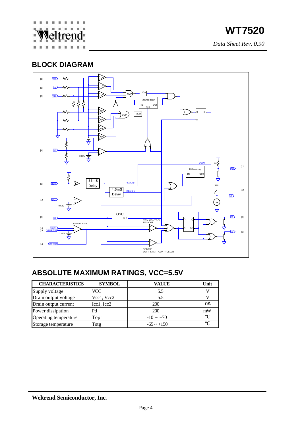

*Data Sheet Rev. 0.90*

### **BLOCK DIAGRAM**



## **ABSOLUTE MAXIMUM RATINGS, VCC=5.5V**

| <b>CHARACTERISTICS</b> | <b>SYMBOL</b> | VALUE           | Unit |
|------------------------|---------------|-----------------|------|
| Supply voltage         | VCC           | 5.5             |      |
| Drain output voltage   | Vcc1, Vcc2    | 5.5             |      |
| Drain output current   | Icc1, Icc2    | 200             | mA   |
| Power dissipation      | Pd            | 200             | mW   |
| Operating temperature  | Topr          | $-10 \sim +70$  |      |
| Storage temperature    | Tstg          | $-65 \sim +150$ |      |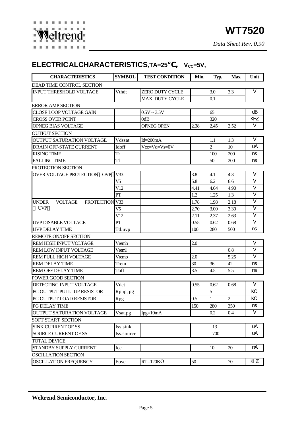## ELECTRICALCHARACTERISTICS, TA=25 , V<sub>cc</sub>=5V,

| <b>CHARACTERISTICS</b>                           | <b>SYMBOL</b>  | <b>TEST CONDITION</b> | Min.    | Typ.           | Max.           | Unit                    |
|--------------------------------------------------|----------------|-----------------------|---------|----------------|----------------|-------------------------|
| DEAD TIME CONTROL SECTION                        |                |                       |         |                |                |                         |
| <b>INPUT THRESHOLD VOLTAGE</b>                   | Vthdt          | ZERO DUTY CYCLE       |         | 3.0            | 3.3            | V                       |
|                                                  |                | MAX. DUTY CYCLE       |         | 0.1            |                |                         |
| <b>ERROR AMP SECTION</b>                         |                |                       |         |                |                |                         |
| CLOSE LOOP VOLTAGE GAIN                          |                | $0.5V \sim 3.5V$      |         | 65             |                | dB                      |
| <b>CROSS OVER POINT</b>                          |                | 0dB                   |         | 320            |                | KHZ                     |
| OPNEG BIAS VOLTAGE                               |                | <b>OPNEG OPEN</b>     | 2.38    | 2.45           | 2.52           | V                       |
| <b>OUTPUT SECTION</b>                            |                |                       |         |                |                |                         |
| <b>OUTPUT SATURATION VOLTAGE</b>                 | Vdssat         | $Id = 200mA$          |         | 1.1            | 1.3            | V                       |
| <b>DRAIN OFF-STATE CURRENT</b>                   | Idoff          | $Vec=Vd=Vs=0V$        |         | $\overline{2}$ | 10             | uA                      |
| <b>RISING TIME</b>                               | Tr             |                       |         | 100            | 200            | ns                      |
| <b>FALLING TIME</b>                              | Tf             |                       |         | 50             | 200            | ns                      |
| PROTECTION SECTION                               |                |                       |         |                |                |                         |
| OVER VOLTAGE PROTECTION OVP                      | V33            |                       | 3.8     | 4.1            | 4.3            | V                       |
|                                                  | V5             |                       | 5.8     | 6.2            | 6.6            | V                       |
|                                                  | V12            |                       | 4.41    | 4.64           | 4.90           | $\overline{\mathbf{V}}$ |
|                                                  | PT             |                       | 1.2     | 1.25           | 1.3            | $\mathbf{V}$            |
| <b>VOLTAGE</b><br><b>UNDER</b><br>PROTECTION V33 |                |                       | 1.78    | 1.98           | 2.18           | $\mathbf{V}$            |
| <b>UVP</b>                                       | V <sub>5</sub> |                       | 2.70    | 3.00           | 3.30           | $\mathbf{V}$            |
|                                                  | V12            |                       | 2.11    | 2.37           | 2.63           | $\mathbf{V}$            |
| UVP DISABLE VOLTAGE                              | ${\cal PT}$    |                       | 0.55    | 0.62           | 0.68           | V                       |
| <b>UVP DELAY TIME</b>                            | Td.uvp         |                       | 100     | 280            | 500            | ns                      |
| <b>REMOTE ON/OFF SECTION</b>                     |                |                       |         |                |                |                         |
| <b>REM HIGH INPUT VOLTAGE</b>                    | Vremh          |                       | 2.0     |                |                | V                       |
| REM LOW INPUT VOLTAGE                            | Vreml          |                       |         |                | 0.8            | V                       |
| REM PULL HIGH VOLTAGE                            | Vremo          |                       | 2.0     |                | 5.25           | V                       |
| <b>REM DELAY TIME</b>                            | Trem           |                       | 30      | 36             | 42             | ns                      |
| <b>REM OFF DELAY TIME</b>                        | Toff           |                       | 3.5     | 4.5            | 5.5            | ns                      |
| POWER GOOD SECTION                               |                |                       |         |                |                |                         |
| DETECTING INPUT VOLTAGE                          | Vdet           |                       | 0.55    | 0.62           | 0.68           | V                       |
| PG OUTPUT PULL-UP RESISTOR                       | Rpup, pg       |                       |         | 5              |                | KQ                      |
| PG OUTPUT LOAD RESISTOR                          | Rpg            |                       | $0.5\,$ | $\,1\,$        | $\overline{2}$ | KΩ                      |
| PG DELAY TIME                                    |                |                       | 150     | 280            | 350            | ns                      |
| OUTPUT SATURATION VOLTAGE                        | Vsat.pg        | $Ipg=10mA$            |         | 0.2            | 0.4            | $\mathbf V$             |
| SOFT START SECTION                               |                |                       |         |                |                |                         |
| <b>SINK CURRENT OF SS</b>                        | Iss.sink       |                       |         | 13             |                | uA                      |
| <b>SOURCE CURRENT OF SS</b>                      | Iss.source     |                       |         | 700            |                | uA                      |
| <b>TOTAL DEVICE</b>                              |                |                       |         |                |                |                         |
| STANDBY SUPPLY CURRENT                           | Icc            |                       |         | 10             | 20             | mA                      |
| <b>OSCILLATION SECTION</b>                       |                |                       |         |                |                |                         |
| <b>OSCILLATION FREQUENCY</b>                     | Fosc           | $RT = 120K$           | 50      |                | 70             | KHZ                     |

**Weltrend Semiconductor, Inc.**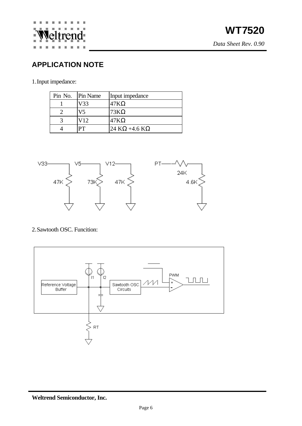

## **APPLICATION NOTE**

1.Input impedance:

| Pin No. Pin Name | Input impedance |
|------------------|-----------------|
| V33              | 47 K            |
| V5               | 73K             |
| V <sub>12</sub>  | 47 K            |
|                  | $24 K + 4.6 K$  |



#### 2.Sawtooth OSC. Funcition:

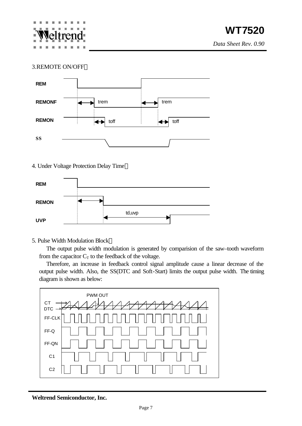

*Data Sheet Rev. 0.90*

#### 3.REMOTE ON/OFF



#### 4. Under Voltage Protection Delay Time



#### 5. Pulse Width Modulation Block

The output pulse width modulation is generated by comparision of the saw–tooth waveform from the capacitor  $C_T$  to the feedback of the voltage.

Therefore, an increase in feedback control signal amplitude cause a linear decrease of the output pulse width. Also, the SS(DTC and Soft-Start) limits the output pulse width. The timing diagram is shown as below:



**Weltrend Semiconductor, Inc.**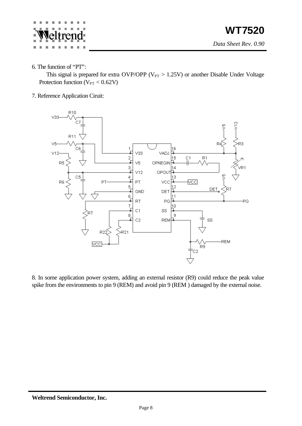

6. The function of "PT":

This signal is prepared for extra OVP/OPP ( $V_{PT} > 1.25V$ ) or another Disable Under Voltage Protection function ( $V_{PT} < 0.62 V$ )

7. Reference Application Ciruit:



8. In some application power system, adding an external resistor (R9) could reduce the peak value spike from the environments to pin 9 (REM) and avoid pin 9 (REM ) damaged by the external noise.